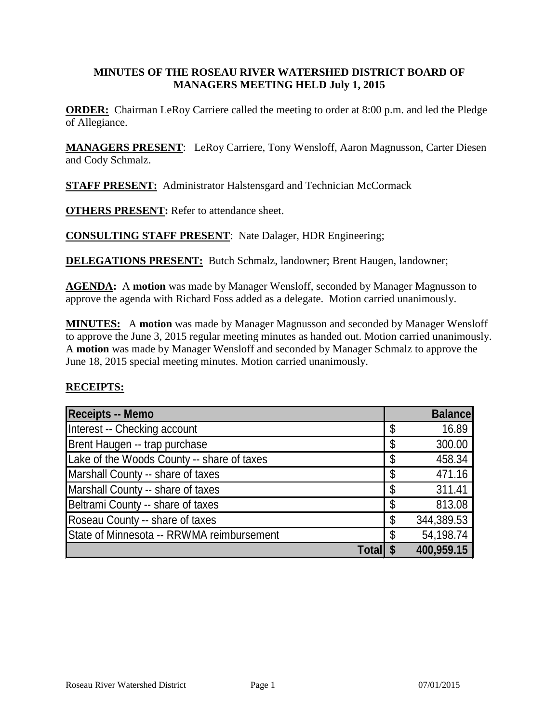#### **MINUTES OF THE ROSEAU RIVER WATERSHED DISTRICT BOARD OF MANAGERS MEETING HELD July 1, 2015**

**ORDER:** Chairman LeRoy Carriere called the meeting to order at 8:00 p.m. and led the Pledge of Allegiance.

**MANAGERS PRESENT**: LeRoy Carriere, Tony Wensloff, Aaron Magnusson, Carter Diesen and Cody Schmalz.

**STAFF PRESENT:** Administrator Halstensgard and Technician McCormack

**OTHERS PRESENT:** Refer to attendance sheet.

**CONSULTING STAFF PRESENT**: Nate Dalager, HDR Engineering;

**DELEGATIONS PRESENT:** Butch Schmalz, landowner; Brent Haugen, landowner;

**AGENDA:** A **motion** was made by Manager Wensloff, seconded by Manager Magnusson to approve the agenda with Richard Foss added as a delegate. Motion carried unanimously.

**MINUTES:** A **motion** was made by Manager Magnusson and seconded by Manager Wensloff to approve the June 3, 2015 regular meeting minutes as handed out. Motion carried unanimously. A **motion** was made by Manager Wensloff and seconded by Manager Schmalz to approve the June 18, 2015 special meeting minutes. Motion carried unanimously.

#### **RECEIPTS:**

| <b>Receipts -- Memo</b>                    | <b>Balance</b>   |
|--------------------------------------------|------------------|
| Interest -- Checking account               | \$<br>16.89      |
| Brent Haugen -- trap purchase              | \$<br>300.00     |
| Lake of the Woods County -- share of taxes | \$<br>458.34     |
| Marshall County -- share of taxes          | \$<br>471.16     |
| Marshall County -- share of taxes          | \$<br>311.41     |
| Beltrami County -- share of taxes          | \$<br>813.08     |
| Roseau County -- share of taxes            | \$<br>344,389.53 |
| State of Minnesota -- RRWMA reimbursement  | \$<br>54,198.74  |
| <b>Total</b>                               | 400,959.15       |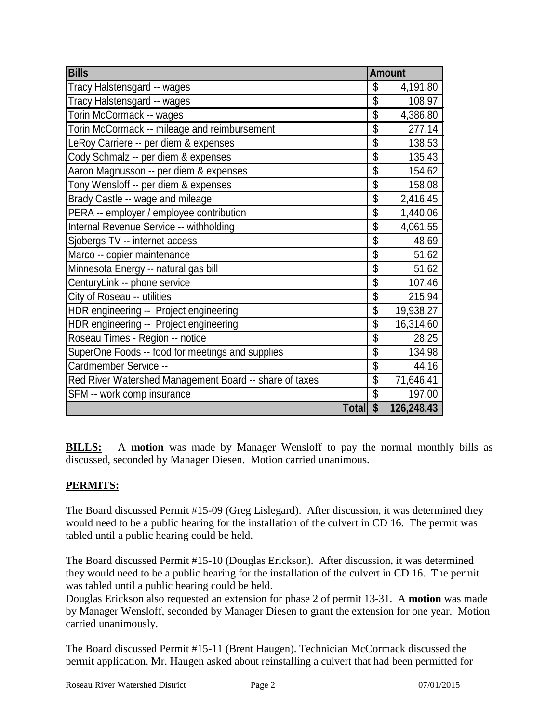| <b>Bills</b>                                           | <b>Amount</b>            |            |
|--------------------------------------------------------|--------------------------|------------|
| Tracy Halstensgard -- wages                            | \$                       | 4,191.80   |
| Tracy Halstensgard -- wages                            | \$                       | 108.97     |
| Torin McCormack -- wages                               | \$                       | 4,386.80   |
| Torin McCormack -- mileage and reimbursement           | \$                       | 277.14     |
| LeRoy Carriere -- per diem & expenses                  | \$                       | 138.53     |
| Cody Schmalz -- per diem & expenses                    | \$                       | 135.43     |
| Aaron Magnusson -- per diem & expenses                 | \$                       | 154.62     |
| Tony Wensloff -- per diem & expenses                   | \$                       | 158.08     |
| Brady Castle -- wage and mileage                       | \$                       | 2,416.45   |
| PERA -- employer / employee contribution               | \$                       | 1,440.06   |
| Internal Revenue Service -- withholding                | \$                       | 4,061.55   |
| Sjobergs TV -- internet access                         | \$                       | 48.69      |
| Marco -- copier maintenance                            | \$                       | 51.62      |
| Minnesota Energy -- natural gas bill                   | \$                       | 51.62      |
| CenturyLink -- phone service                           | \$                       | 107.46     |
| City of Roseau -- utilities                            | \$                       | 215.94     |
| HDR engineering -- Project engineering                 | \$                       | 19,938.27  |
| HDR engineering -- Project engineering                 | \$                       | 16,314.60  |
| Roseau Times - Region -- notice                        | \$                       | 28.25      |
| SuperOne Foods -- food for meetings and supplies       | $\overline{\mathcal{S}}$ | 134.98     |
| Cardmember Service --                                  | \$                       | 44.16      |
| Red River Watershed Management Board -- share of taxes | \$                       | 71,646.41  |
| SFM -- work comp insurance                             | \$                       | 197.00     |
| <b>Total</b>                                           | $\mathbf{\hat{s}}$       | 126,248.43 |

**BILLS:** A **motion** was made by Manager Wensloff to pay the normal monthly bills as discussed, seconded by Manager Diesen. Motion carried unanimous.

## **PERMITS:**

The Board discussed Permit #15-09 (Greg Lislegard). After discussion, it was determined they would need to be a public hearing for the installation of the culvert in CD 16. The permit was tabled until a public hearing could be held.

The Board discussed Permit #15-10 (Douglas Erickson). After discussion, it was determined they would need to be a public hearing for the installation of the culvert in CD 16. The permit was tabled until a public hearing could be held.

Douglas Erickson also requested an extension for phase 2 of permit 13-31. A **motion** was made by Manager Wensloff, seconded by Manager Diesen to grant the extension for one year. Motion carried unanimously.

The Board discussed Permit #15-11 (Brent Haugen). Technician McCormack discussed the permit application. Mr. Haugen asked about reinstalling a culvert that had been permitted for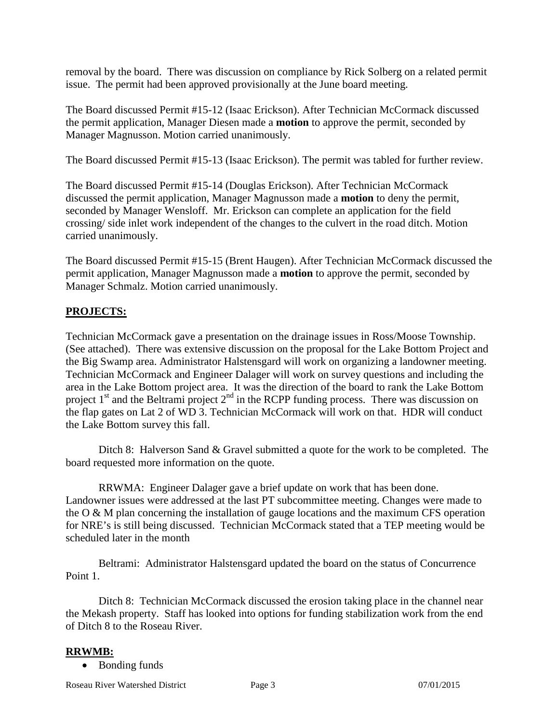removal by the board. There was discussion on compliance by Rick Solberg on a related permit issue. The permit had been approved provisionally at the June board meeting.

The Board discussed Permit #15-12 (Isaac Erickson). After Technician McCormack discussed the permit application, Manager Diesen made a **motion** to approve the permit, seconded by Manager Magnusson. Motion carried unanimously.

The Board discussed Permit #15-13 (Isaac Erickson). The permit was tabled for further review.

The Board discussed Permit #15-14 (Douglas Erickson). After Technician McCormack discussed the permit application, Manager Magnusson made a **motion** to deny the permit, seconded by Manager Wensloff. Mr. Erickson can complete an application for the field crossing/ side inlet work independent of the changes to the culvert in the road ditch. Motion carried unanimously.

The Board discussed Permit #15-15 (Brent Haugen). After Technician McCormack discussed the permit application, Manager Magnusson made a **motion** to approve the permit, seconded by Manager Schmalz. Motion carried unanimously.

### **PROJECTS:**

Technician McCormack gave a presentation on the drainage issues in Ross/Moose Township. (See attached). There was extensive discussion on the proposal for the Lake Bottom Project and the Big Swamp area. Administrator Halstensgard will work on organizing a landowner meeting. Technician McCormack and Engineer Dalager will work on survey questions and including the area in the Lake Bottom project area. It was the direction of the board to rank the Lake Bottom project  $1<sup>st</sup>$  and the Beltrami project  $2<sup>nd</sup>$  in the RCPP funding process. There was discussion on the flap gates on Lat 2 of WD 3. Technician McCormack will work on that. HDR will conduct the Lake Bottom survey this fall.

Ditch 8: Halverson Sand & Gravel submitted a quote for the work to be completed. The board requested more information on the quote.

RRWMA: Engineer Dalager gave a brief update on work that has been done. Landowner issues were addressed at the last PT subcommittee meeting. Changes were made to the O & M plan concerning the installation of gauge locations and the maximum CFS operation for NRE's is still being discussed. Technician McCormack stated that a TEP meeting would be scheduled later in the month

Beltrami: Administrator Halstensgard updated the board on the status of Concurrence Point 1.

Ditch 8: Technician McCormack discussed the erosion taking place in the channel near the Mekash property. Staff has looked into options for funding stabilization work from the end of Ditch 8 to the Roseau River.

### **RRWMB:**

• Bonding funds

Roseau River Watershed District Page 3 07/01/2015